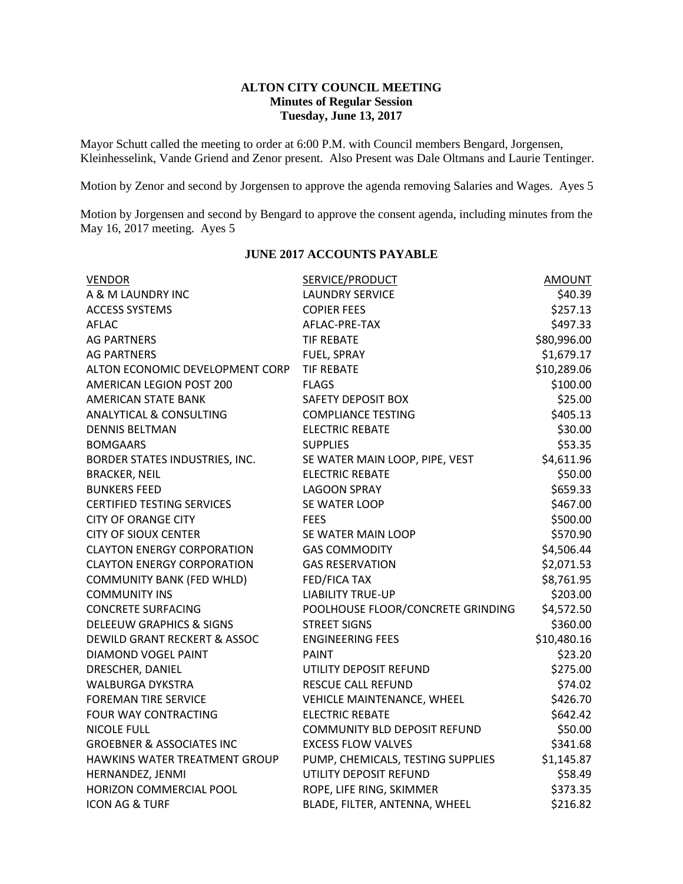## **ALTON CITY COUNCIL MEETING Minutes of Regular Session Tuesday, June 13, 2017**

Mayor Schutt called the meeting to order at 6:00 P.M. with Council members Bengard, Jorgensen, Kleinhesselink, Vande Griend and Zenor present. Also Present was Dale Oltmans and Laurie Tentinger.

Motion by Zenor and second by Jorgensen to approve the agenda removing Salaries and Wages. Ayes 5

Motion by Jorgensen and second by Bengard to approve the consent agenda, including minutes from the May 16, 2017 meeting. Ayes 5

| <b>VENDOR</b>                           | <b>SERVICE/PRODUCT</b>              | <b>AMOUNT</b> |
|-----------------------------------------|-------------------------------------|---------------|
| A & M LAUNDRY INC                       | <b>LAUNDRY SERVICE</b>              | \$40.39       |
| <b>ACCESS SYSTEMS</b>                   | <b>COPIER FEES</b>                  | \$257.13      |
| <b>AFLAC</b>                            | AFLAC-PRE-TAX                       | \$497.33      |
| <b>AG PARTNERS</b>                      | <b>TIF REBATE</b>                   | \$80,996.00   |
| <b>AG PARTNERS</b>                      | FUEL, SPRAY                         | \$1,679.17    |
| ALTON ECONOMIC DEVELOPMENT CORP         | <b>TIF REBATE</b>                   | \$10,289.06   |
| AMERICAN LEGION POST 200                | <b>FLAGS</b>                        | \$100.00      |
| <b>AMERICAN STATE BANK</b>              | SAFETY DEPOSIT BOX                  | \$25.00       |
| <b>ANALYTICAL &amp; CONSULTING</b>      | <b>COMPLIANCE TESTING</b>           | \$405.13      |
| <b>DENNIS BELTMAN</b>                   | <b>ELECTRIC REBATE</b>              | \$30.00       |
| <b>BOMGAARS</b>                         | <b>SUPPLIES</b>                     | \$53.35       |
| BORDER STATES INDUSTRIES, INC.          | SE WATER MAIN LOOP, PIPE, VEST      | \$4,611.96    |
| <b>BRACKER, NEIL</b>                    | <b>ELECTRIC REBATE</b>              | \$50.00       |
| <b>BUNKERS FEED</b>                     | <b>LAGOON SPRAY</b>                 | \$659.33      |
| <b>CERTIFIED TESTING SERVICES</b>       | SE WATER LOOP                       | \$467.00      |
| <b>CITY OF ORANGE CITY</b>              | <b>FEES</b>                         | \$500.00      |
| <b>CITY OF SIOUX CENTER</b>             | SE WATER MAIN LOOP                  | \$570.90      |
| <b>CLAYTON ENERGY CORPORATION</b>       | <b>GAS COMMODITY</b>                | \$4,506.44    |
| <b>CLAYTON ENERGY CORPORATION</b>       | <b>GAS RESERVATION</b>              | \$2,071.53    |
| <b>COMMUNITY BANK (FED WHLD)</b>        | <b>FED/FICA TAX</b>                 | \$8,761.95    |
| <b>COMMUNITY INS</b>                    | <b>LIABILITY TRUE-UP</b>            | \$203.00      |
| <b>CONCRETE SURFACING</b>               | POOLHOUSE FLOOR/CONCRETE GRINDING   | \$4,572.50    |
| <b>DELEEUW GRAPHICS &amp; SIGNS</b>     | <b>STREET SIGNS</b>                 | \$360.00      |
| <b>DEWILD GRANT RECKERT &amp; ASSOC</b> | <b>ENGINEERING FEES</b>             | \$10,480.16   |
| <b>DIAMOND VOGEL PAINT</b>              | <b>PAINT</b>                        | \$23.20       |
| DRESCHER, DANIEL                        | UTILITY DEPOSIT REFUND              | \$275.00      |
| <b>WALBURGA DYKSTRA</b>                 | RESCUE CALL REFUND                  | \$74.02       |
| <b>FOREMAN TIRE SERVICE</b>             | VEHICLE MAINTENANCE, WHEEL          | \$426.70      |
| FOUR WAY CONTRACTING                    | <b>ELECTRIC REBATE</b>              | \$642.42      |
| <b>NICOLE FULL</b>                      | <b>COMMUNITY BLD DEPOSIT REFUND</b> | \$50.00       |
| <b>GROEBNER &amp; ASSOCIATES INC</b>    | <b>EXCESS FLOW VALVES</b>           | \$341.68      |
| HAWKINS WATER TREATMENT GROUP           | PUMP, CHEMICALS, TESTING SUPPLIES   | \$1,145.87    |
| HERNANDEZ, JENMI                        | UTILITY DEPOSIT REFUND              | \$58.49       |
| HORIZON COMMERCIAL POOL                 | ROPE, LIFE RING, SKIMMER            | \$373.35      |
| <b>ICON AG &amp; TURF</b>               | BLADE, FILTER, ANTENNA, WHEEL       | \$216.82      |
|                                         |                                     |               |

#### **JUNE 2017 ACCOUNTS PAYABLE**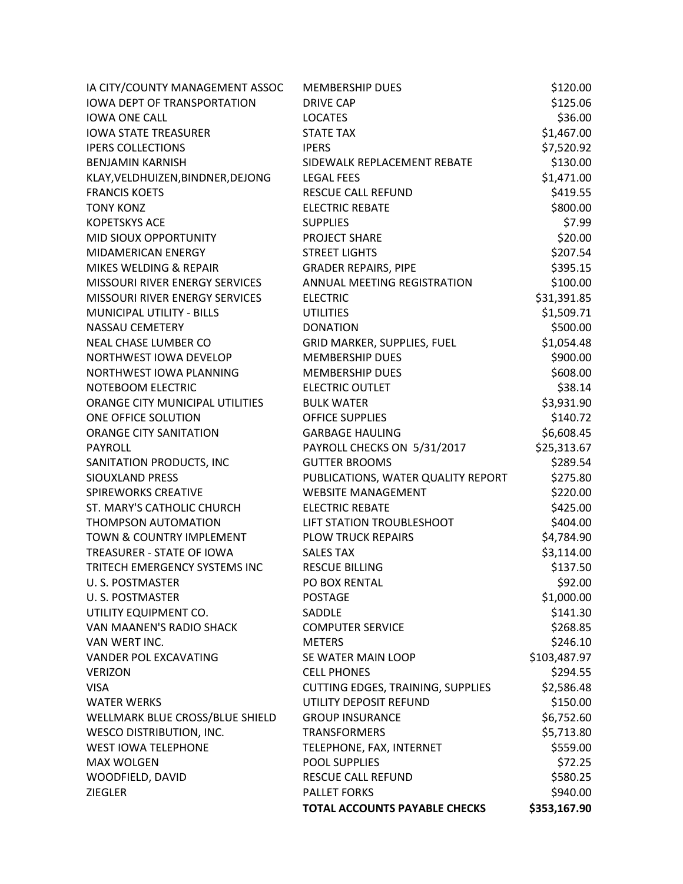| IA CITY/COUNTY MANAGEMENT ASSOC    | <b>MEMBERSHIP DUES</b>             | \$120.00     |
|------------------------------------|------------------------------------|--------------|
| <b>IOWA DEPT OF TRANSPORTATION</b> | <b>DRIVE CAP</b>                   | \$125.06     |
| <b>IOWA ONE CALL</b>               | <b>LOCATES</b>                     | \$36.00      |
| <b>IOWA STATE TREASURER</b>        | <b>STATE TAX</b>                   | \$1,467.00   |
| <b>IPERS COLLECTIONS</b>           | <b>IPERS</b>                       | \$7,520.92   |
| <b>BENJAMIN KARNISH</b>            | SIDEWALK REPLACEMENT REBATE        | \$130.00     |
| KLAY, VELDHUIZEN, BINDNER, DEJONG  | <b>LEGAL FEES</b>                  | \$1,471.00   |
| <b>FRANCIS KOETS</b>               | RESCUE CALL REFUND                 | \$419.55     |
| <b>TONY KONZ</b>                   | <b>ELECTRIC REBATE</b>             | \$800.00     |
| <b>KOPETSKYS ACE</b>               | <b>SUPPLIES</b>                    | \$7.99       |
| MID SIOUX OPPORTUNITY              | <b>PROJECT SHARE</b>               | \$20.00      |
| MIDAMERICAN ENERGY                 | <b>STREET LIGHTS</b>               | \$207.54     |
| MIKES WELDING & REPAIR             | <b>GRADER REPAIRS, PIPE</b>        | \$395.15     |
| MISSOURI RIVER ENERGY SERVICES     | ANNUAL MEETING REGISTRATION        | \$100.00     |
| MISSOURI RIVER ENERGY SERVICES     | <b>ELECTRIC</b>                    | \$31,391.85  |
| <b>MUNICIPAL UTILITY - BILLS</b>   | <b>UTILITIES</b>                   | \$1,509.71   |
| NASSAU CEMETERY                    | <b>DONATION</b>                    | \$500.00     |
| NEAL CHASE LUMBER CO               | GRID MARKER, SUPPLIES, FUEL        | \$1,054.48   |
| NORTHWEST IOWA DEVELOP             | <b>MEMBERSHIP DUES</b>             | \$900.00     |
| NORTHWEST IOWA PLANNING            | <b>MEMBERSHIP DUES</b>             | \$608.00     |
| NOTEBOOM ELECTRIC                  | <b>ELECTRIC OUTLET</b>             | \$38.14      |
| ORANGE CITY MUNICIPAL UTILITIES    | <b>BULK WATER</b>                  | \$3,931.90   |
| ONE OFFICE SOLUTION                | <b>OFFICE SUPPLIES</b>             | \$140.72     |
| <b>ORANGE CITY SANITATION</b>      | <b>GARBAGE HAULING</b>             | \$6,608.45   |
| <b>PAYROLL</b>                     | PAYROLL CHECKS ON 5/31/2017        | \$25,313.67  |
| SANITATION PRODUCTS, INC           | <b>GUTTER BROOMS</b>               | \$289.54     |
| SIOUXLAND PRESS                    | PUBLICATIONS, WATER QUALITY REPORT | \$275.80     |
| <b>SPIREWORKS CREATIVE</b>         | <b>WEBSITE MANAGEMENT</b>          | \$220.00     |
| ST. MARY'S CATHOLIC CHURCH         | <b>ELECTRIC REBATE</b>             | \$425.00     |
| <b>THOMPSON AUTOMATION</b>         | LIFT STATION TROUBLESHOOT          | \$404.00     |
| TOWN & COUNTRY IMPLEMENT           | <b>PLOW TRUCK REPAIRS</b>          | \$4,784.90   |
| TREASURER - STATE OF IOWA          | <b>SALES TAX</b>                   | \$3,114.00   |
| TRITECH EMERGENCY SYSTEMS INC      | <b>RESCUE BILLING</b>              | \$137.50     |
| U.S. POSTMASTER                    | PO BOX RENTAL                      | \$92.00      |
| U. S. POSTMASTER                   | POSTAGE                            | \$1,000.00   |
| UTILITY EQUIPMENT CO.              | SADDLE                             | \$141.30     |
| VAN MAANEN'S RADIO SHACK           | <b>COMPUTER SERVICE</b>            | \$268.85     |
| VAN WERT INC.                      | <b>METERS</b>                      | \$246.10     |
| VANDER POL EXCAVATING              | SE WATER MAIN LOOP                 | \$103,487.97 |
| <b>VERIZON</b>                     | <b>CELL PHONES</b>                 | \$294.55     |
| <b>VISA</b>                        | CUTTING EDGES, TRAINING, SUPPLIES  | \$2,586.48   |
| <b>WATER WERKS</b>                 | UTILITY DEPOSIT REFUND             | \$150.00     |
| WELLMARK BLUE CROSS/BLUE SHIELD    | <b>GROUP INSURANCE</b>             | \$6,752.60   |
| <b>WESCO DISTRIBUTION, INC.</b>    | <b>TRANSFORMERS</b>                | \$5,713.80   |
| <b>WEST IOWA TELEPHONE</b>         | TELEPHONE, FAX, INTERNET           | \$559.00     |
| <b>MAX WOLGEN</b>                  | <b>POOL SUPPLIES</b>               | \$72.25      |
| WOODFIELD, DAVID                   | RESCUE CALL REFUND                 | \$580.25     |
| <b>ZIEGLER</b>                     | <b>PALLET FORKS</b>                | \$940.00     |
|                                    | TOTAL ACCOUNTS PAYABLE CHECKS      | \$353,167.90 |
|                                    |                                    |              |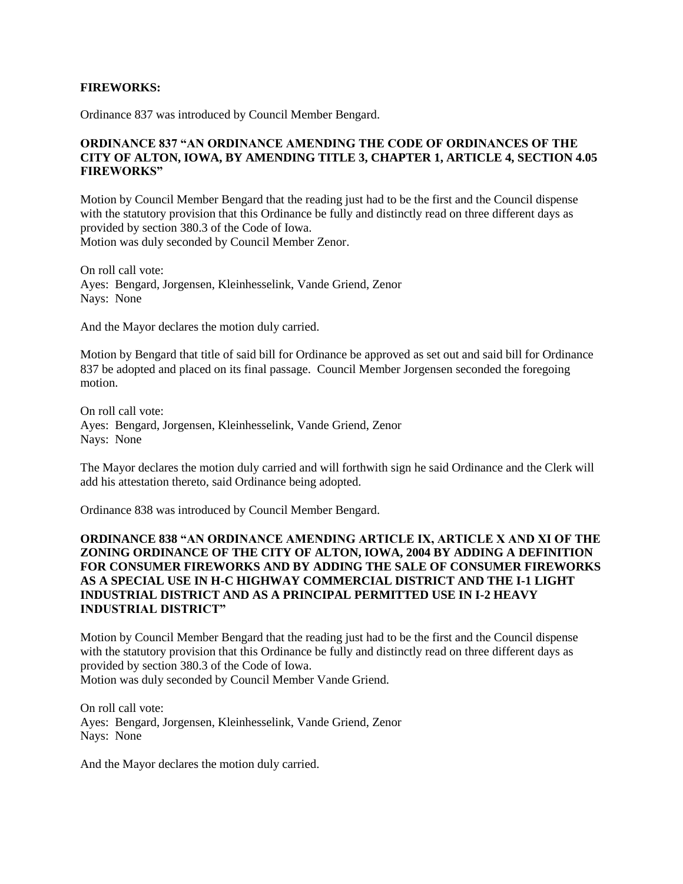#### **FIREWORKS:**

Ordinance 837 was introduced by Council Member Bengard.

## **ORDINANCE 837 "AN ORDINANCE AMENDING THE CODE OF ORDINANCES OF THE CITY OF ALTON, IOWA, BY AMENDING TITLE 3, CHAPTER 1, ARTICLE 4, SECTION 4.05 FIREWORKS"**

Motion by Council Member Bengard that the reading just had to be the first and the Council dispense with the statutory provision that this Ordinance be fully and distinctly read on three different days as provided by section 380.3 of the Code of Iowa. Motion was duly seconded by Council Member Zenor.

On roll call vote: Ayes: Bengard, Jorgensen, Kleinhesselink, Vande Griend, Zenor Nays: None

And the Mayor declares the motion duly carried.

Motion by Bengard that title of said bill for Ordinance be approved as set out and said bill for Ordinance 837 be adopted and placed on its final passage. Council Member Jorgensen seconded the foregoing motion.

On roll call vote: Ayes: Bengard, Jorgensen, Kleinhesselink, Vande Griend, Zenor Nays: None

The Mayor declares the motion duly carried and will forthwith sign he said Ordinance and the Clerk will add his attestation thereto, said Ordinance being adopted.

Ordinance 838 was introduced by Council Member Bengard.

## **ORDINANCE 838 "AN ORDINANCE AMENDING ARTICLE IX, ARTICLE X AND XI OF THE ZONING ORDINANCE OF THE CITY OF ALTON, IOWA, 2004 BY ADDING A DEFINITION FOR CONSUMER FIREWORKS AND BY ADDING THE SALE OF CONSUMER FIREWORKS AS A SPECIAL USE IN H-C HIGHWAY COMMERCIAL DISTRICT AND THE I-1 LIGHT INDUSTRIAL DISTRICT AND AS A PRINCIPAL PERMITTED USE IN I-2 HEAVY INDUSTRIAL DISTRICT"**

Motion by Council Member Bengard that the reading just had to be the first and the Council dispense with the statutory provision that this Ordinance be fully and distinctly read on three different days as provided by section 380.3 of the Code of Iowa. Motion was duly seconded by Council Member Vande Griend.

On roll call vote: Ayes: Bengard, Jorgensen, Kleinhesselink, Vande Griend, Zenor Nays: None

And the Mayor declares the motion duly carried.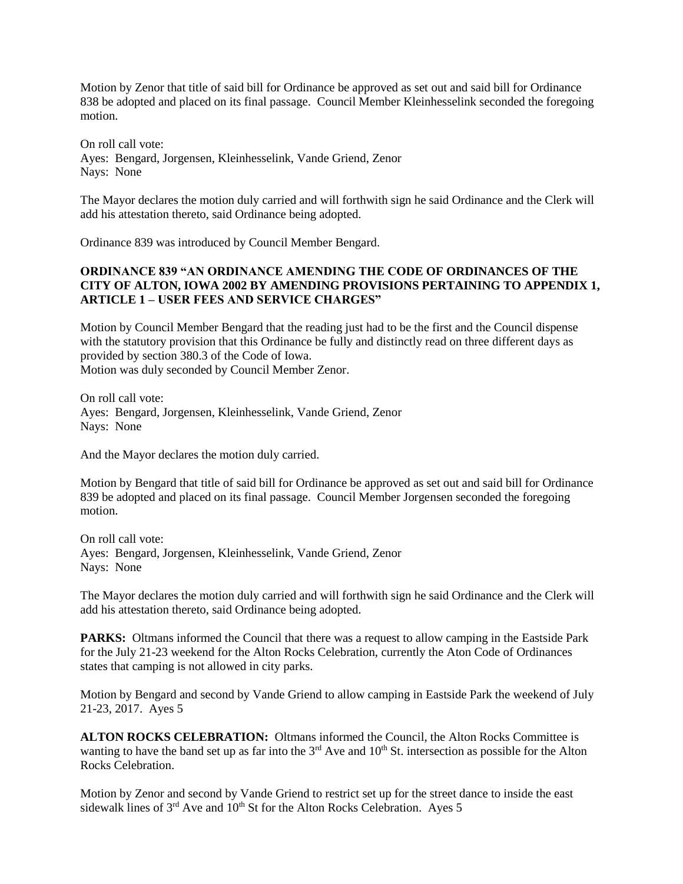Motion by Zenor that title of said bill for Ordinance be approved as set out and said bill for Ordinance 838 be adopted and placed on its final passage. Council Member Kleinhesselink seconded the foregoing motion.

On roll call vote: Ayes: Bengard, Jorgensen, Kleinhesselink, Vande Griend, Zenor Nays: None

The Mayor declares the motion duly carried and will forthwith sign he said Ordinance and the Clerk will add his attestation thereto, said Ordinance being adopted.

Ordinance 839 was introduced by Council Member Bengard.

## **ORDINANCE 839 "AN ORDINANCE AMENDING THE CODE OF ORDINANCES OF THE CITY OF ALTON, IOWA 2002 BY AMENDING PROVISIONS PERTAINING TO APPENDIX 1, ARTICLE 1 – USER FEES AND SERVICE CHARGES"**

Motion by Council Member Bengard that the reading just had to be the first and the Council dispense with the statutory provision that this Ordinance be fully and distinctly read on three different days as provided by section 380.3 of the Code of Iowa. Motion was duly seconded by Council Member Zenor.

On roll call vote: Ayes: Bengard, Jorgensen, Kleinhesselink, Vande Griend, Zenor Nays: None

And the Mayor declares the motion duly carried.

Motion by Bengard that title of said bill for Ordinance be approved as set out and said bill for Ordinance 839 be adopted and placed on its final passage. Council Member Jorgensen seconded the foregoing motion.

On roll call vote: Ayes: Bengard, Jorgensen, Kleinhesselink, Vande Griend, Zenor Nays: None

The Mayor declares the motion duly carried and will forthwith sign he said Ordinance and the Clerk will add his attestation thereto, said Ordinance being adopted.

PARKS: Oltmans informed the Council that there was a request to allow camping in the Eastside Park for the July 21-23 weekend for the Alton Rocks Celebration, currently the Aton Code of Ordinances states that camping is not allowed in city parks.

Motion by Bengard and second by Vande Griend to allow camping in Eastside Park the weekend of July 21-23, 2017. Ayes 5

**ALTON ROCKS CELEBRATION:** Oltmans informed the Council, the Alton Rocks Committee is wanting to have the band set up as far into the  $3<sup>rd</sup>$  Ave and  $10<sup>th</sup>$  St. intersection as possible for the Alton Rocks Celebration.

Motion by Zenor and second by Vande Griend to restrict set up for the street dance to inside the east sidewalk lines of  $3<sup>rd</sup>$  Ave and  $10<sup>th</sup>$  St for the Alton Rocks Celebration. Ayes 5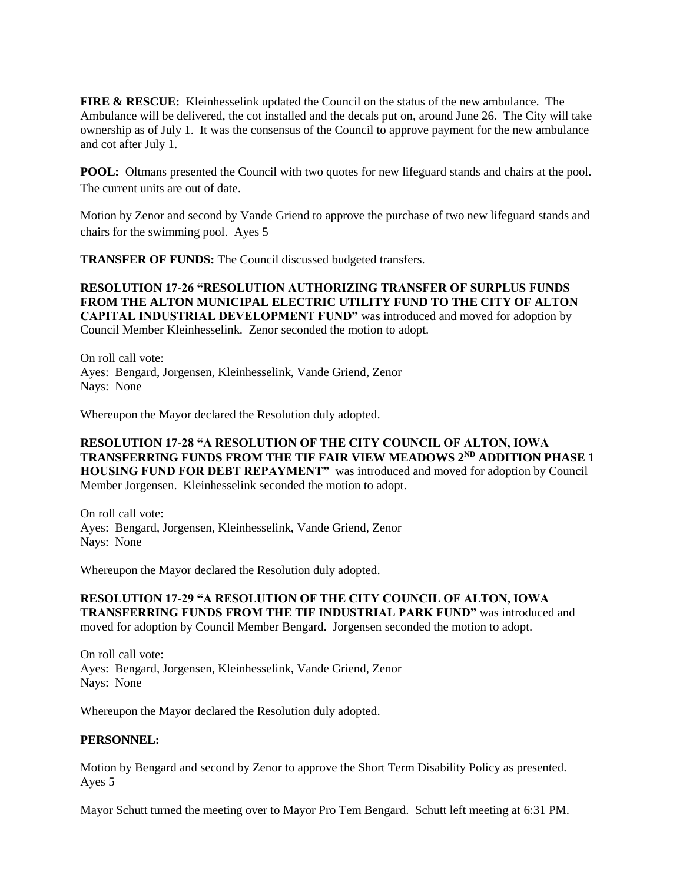**FIRE & RESCUE:** Kleinhesselink updated the Council on the status of the new ambulance. The Ambulance will be delivered, the cot installed and the decals put on, around June 26. The City will take ownership as of July 1. It was the consensus of the Council to approve payment for the new ambulance and cot after July 1.

**POOL:** Oltmans presented the Council with two quotes for new lifeguard stands and chairs at the pool. The current units are out of date.

Motion by Zenor and second by Vande Griend to approve the purchase of two new lifeguard stands and chairs for the swimming pool. Ayes 5

**TRANSFER OF FUNDS:** The Council discussed budgeted transfers.

**RESOLUTION 17-26 "RESOLUTION AUTHORIZING TRANSFER OF SURPLUS FUNDS FROM THE ALTON MUNICIPAL ELECTRIC UTILITY FUND TO THE CITY OF ALTON CAPITAL INDUSTRIAL DEVELOPMENT FUND"** was introduced and moved for adoption by Council Member Kleinhesselink. Zenor seconded the motion to adopt.

On roll call vote: Ayes: Bengard, Jorgensen, Kleinhesselink, Vande Griend, Zenor Nays: None

Whereupon the Mayor declared the Resolution duly adopted.

## **RESOLUTION 17-28 "A RESOLUTION OF THE CITY COUNCIL OF ALTON, IOWA TRANSFERRING FUNDS FROM THE TIF FAIR VIEW MEADOWS 2ND ADDITION PHASE 1 HOUSING FUND FOR DEBT REPAYMENT"** was introduced and moved for adoption by Council Member Jorgensen. Kleinhesselink seconded the motion to adopt.

On roll call vote: Ayes: Bengard, Jorgensen, Kleinhesselink, Vande Griend, Zenor Nays: None

Whereupon the Mayor declared the Resolution duly adopted.

### **RESOLUTION 17-29 "A RESOLUTION OF THE CITY COUNCIL OF ALTON, IOWA TRANSFERRING FUNDS FROM THE TIF INDUSTRIAL PARK FUND"** was introduced and moved for adoption by Council Member Bengard. Jorgensen seconded the motion to adopt.

On roll call vote: Ayes: Bengard, Jorgensen, Kleinhesselink, Vande Griend, Zenor Nays: None

Whereupon the Mayor declared the Resolution duly adopted.

## **PERSONNEL:**

Motion by Bengard and second by Zenor to approve the Short Term Disability Policy as presented. Ayes 5

Mayor Schutt turned the meeting over to Mayor Pro Tem Bengard. Schutt left meeting at 6:31 PM.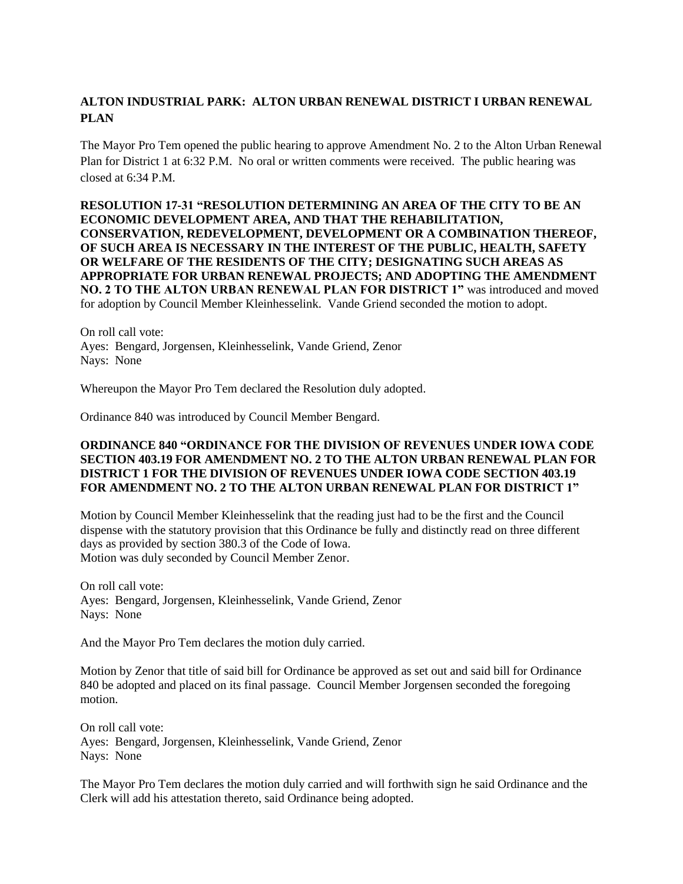# **ALTON INDUSTRIAL PARK: ALTON URBAN RENEWAL DISTRICT I URBAN RENEWAL PLAN**

The Mayor Pro Tem opened the public hearing to approve Amendment No. 2 to the Alton Urban Renewal Plan for District 1 at 6:32 P.M. No oral or written comments were received. The public hearing was closed at 6:34 P.M.

**RESOLUTION 17-31 "RESOLUTION DETERMINING AN AREA OF THE CITY TO BE AN ECONOMIC DEVELOPMENT AREA, AND THAT THE REHABILITATION, CONSERVATION, REDEVELOPMENT, DEVELOPMENT OR A COMBINATION THEREOF, OF SUCH AREA IS NECESSARY IN THE INTEREST OF THE PUBLIC, HEALTH, SAFETY OR WELFARE OF THE RESIDENTS OF THE CITY; DESIGNATING SUCH AREAS AS APPROPRIATE FOR URBAN RENEWAL PROJECTS; AND ADOPTING THE AMENDMENT NO. 2 TO THE ALTON URBAN RENEWAL PLAN FOR DISTRICT 1"** was introduced and moved for adoption by Council Member Kleinhesselink. Vande Griend seconded the motion to adopt.

On roll call vote: Ayes: Bengard, Jorgensen, Kleinhesselink, Vande Griend, Zenor Nays: None

Whereupon the Mayor Pro Tem declared the Resolution duly adopted.

Ordinance 840 was introduced by Council Member Bengard.

### **ORDINANCE 840 "ORDINANCE FOR THE DIVISION OF REVENUES UNDER IOWA CODE SECTION 403.19 FOR AMENDMENT NO. 2 TO THE ALTON URBAN RENEWAL PLAN FOR DISTRICT 1 FOR THE DIVISION OF REVENUES UNDER IOWA CODE SECTION 403.19 FOR AMENDMENT NO. 2 TO THE ALTON URBAN RENEWAL PLAN FOR DISTRICT 1"**

Motion by Council Member Kleinhesselink that the reading just had to be the first and the Council dispense with the statutory provision that this Ordinance be fully and distinctly read on three different days as provided by section 380.3 of the Code of Iowa. Motion was duly seconded by Council Member Zenor.

On roll call vote: Ayes: Bengard, Jorgensen, Kleinhesselink, Vande Griend, Zenor Nays: None

And the Mayor Pro Tem declares the motion duly carried.

Motion by Zenor that title of said bill for Ordinance be approved as set out and said bill for Ordinance 840 be adopted and placed on its final passage. Council Member Jorgensen seconded the foregoing motion.

On roll call vote: Ayes: Bengard, Jorgensen, Kleinhesselink, Vande Griend, Zenor Nays: None

The Mayor Pro Tem declares the motion duly carried and will forthwith sign he said Ordinance and the Clerk will add his attestation thereto, said Ordinance being adopted.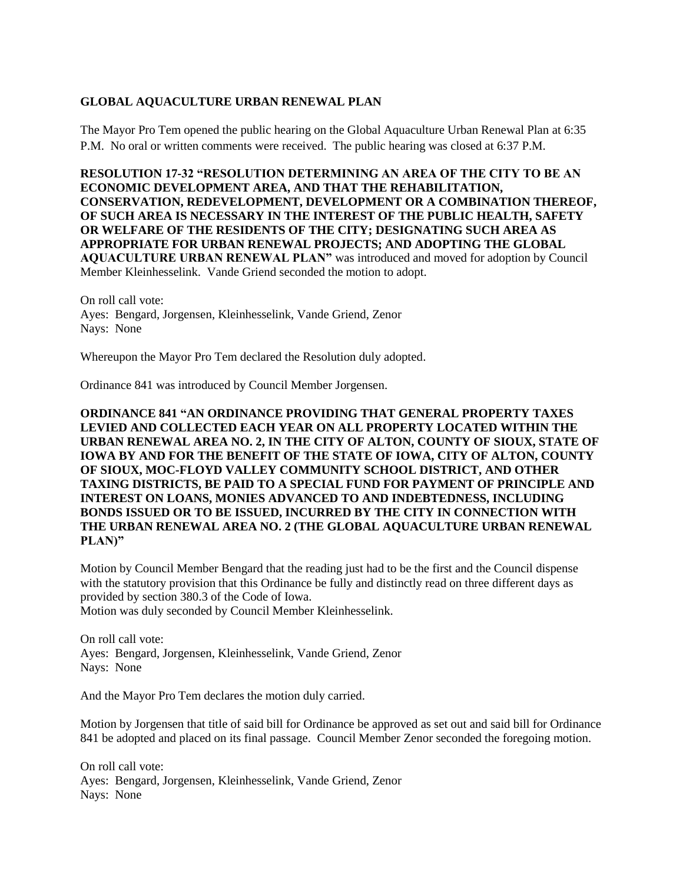## **GLOBAL AQUACULTURE URBAN RENEWAL PLAN**

The Mayor Pro Tem opened the public hearing on the Global Aquaculture Urban Renewal Plan at 6:35 P.M. No oral or written comments were received. The public hearing was closed at 6:37 P.M.

**RESOLUTION 17-32 "RESOLUTION DETERMINING AN AREA OF THE CITY TO BE AN ECONOMIC DEVELOPMENT AREA, AND THAT THE REHABILITATION, CONSERVATION, REDEVELOPMENT, DEVELOPMENT OR A COMBINATION THEREOF, OF SUCH AREA IS NECESSARY IN THE INTEREST OF THE PUBLIC HEALTH, SAFETY OR WELFARE OF THE RESIDENTS OF THE CITY; DESIGNATING SUCH AREA AS APPROPRIATE FOR URBAN RENEWAL PROJECTS; AND ADOPTING THE GLOBAL AQUACULTURE URBAN RENEWAL PLAN"** was introduced and moved for adoption by Council Member Kleinhesselink. Vande Griend seconded the motion to adopt.

On roll call vote: Ayes: Bengard, Jorgensen, Kleinhesselink, Vande Griend, Zenor Nays: None

Whereupon the Mayor Pro Tem declared the Resolution duly adopted.

Ordinance 841 was introduced by Council Member Jorgensen.

**ORDINANCE 841 "AN ORDINANCE PROVIDING THAT GENERAL PROPERTY TAXES LEVIED AND COLLECTED EACH YEAR ON ALL PROPERTY LOCATED WITHIN THE URBAN RENEWAL AREA NO. 2, IN THE CITY OF ALTON, COUNTY OF SIOUX, STATE OF IOWA BY AND FOR THE BENEFIT OF THE STATE OF IOWA, CITY OF ALTON, COUNTY OF SIOUX, MOC-FLOYD VALLEY COMMUNITY SCHOOL DISTRICT, AND OTHER TAXING DISTRICTS, BE PAID TO A SPECIAL FUND FOR PAYMENT OF PRINCIPLE AND INTEREST ON LOANS, MONIES ADVANCED TO AND INDEBTEDNESS, INCLUDING BONDS ISSUED OR TO BE ISSUED, INCURRED BY THE CITY IN CONNECTION WITH THE URBAN RENEWAL AREA NO. 2 (THE GLOBAL AQUACULTURE URBAN RENEWAL PLAN)"**

Motion by Council Member Bengard that the reading just had to be the first and the Council dispense with the statutory provision that this Ordinance be fully and distinctly read on three different days as provided by section 380.3 of the Code of Iowa.

Motion was duly seconded by Council Member Kleinhesselink.

On roll call vote: Ayes: Bengard, Jorgensen, Kleinhesselink, Vande Griend, Zenor Nays: None

And the Mayor Pro Tem declares the motion duly carried.

Motion by Jorgensen that title of said bill for Ordinance be approved as set out and said bill for Ordinance 841 be adopted and placed on its final passage. Council Member Zenor seconded the foregoing motion.

On roll call vote: Ayes: Bengard, Jorgensen, Kleinhesselink, Vande Griend, Zenor Nays: None